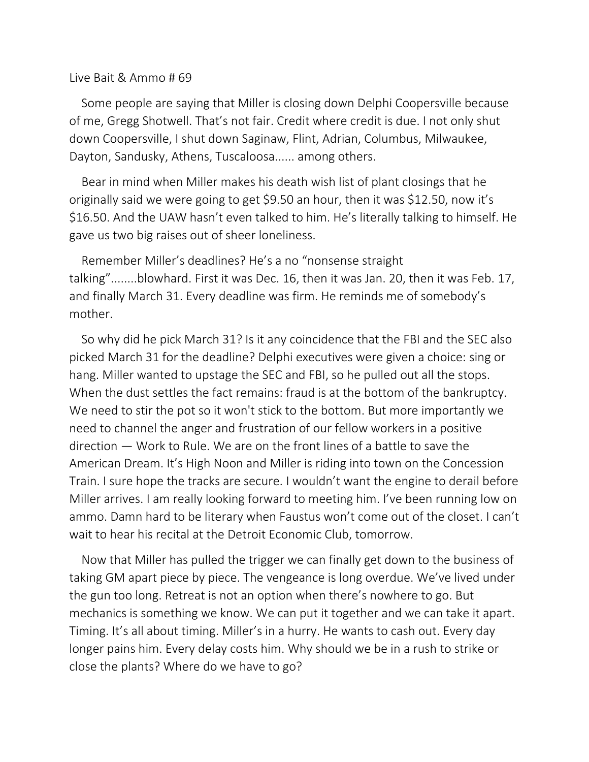## Live Bait & Ammo # 69

Some people are saying that Miller is closing down Delphi Coopersville because of me, Gregg Shotwell. That's not fair. Credit where credit is due. I not only shut down Coopersville, I shut down Saginaw, Flint, Adrian, Columbus, Milwaukee, Dayton, Sandusky, Athens, Tuscaloosa...... among others.

Bear in mind when Miller makes his death wish list of plant closings that he originally said we were going to get \$9.50 an hour, then it was \$12.50, now it's \$16.50. And the UAW hasn't even talked to him. He's literally talking to himself. He gave us two big raises out of sheer loneliness.

Remember Miller's deadlines? He's a no "nonsense straight talking"........blowhard. First it was Dec. 16, then it was Jan. 20, then it was Feb. 17, and finally March 31. Every deadline was firm. He reminds me of somebody's mother.

So why did he pick March 31? Is it any coincidence that the FBI and the SEC also picked March 31 for the deadline? Delphi executives were given a choice: sing or hang. Miller wanted to upstage the SEC and FBI, so he pulled out all the stops. When the dust settles the fact remains: fraud is at the bottom of the bankruptcy. We need to stir the pot so it won't stick to the bottom. But more importantly we need to channel the anger and frustration of our fellow workers in a positive direction — Work to Rule. We are on the front lines of a battle to save the American Dream. It's High Noon and Miller is riding into town on the Concession Train. I sure hope the tracks are secure. I wouldn't want the engine to derail before Miller arrives. I am really looking forward to meeting him. I've been running low on ammo. Damn hard to be literary when Faustus won't come out of the closet. I can't wait to hear his recital at the Detroit Economic Club, tomorrow.

Now that Miller has pulled the trigger we can finally get down to the business of taking GM apart piece by piece. The vengeance is long overdue. We've lived under the gun too long. Retreat is not an option when there's nowhere to go. But mechanics is something we know. We can put it together and we can take it apart. Timing. It's all about timing. Miller's in a hurry. He wants to cash out. Every day longer pains him. Every delay costs him. Why should we be in a rush to strike or close the plants? Where do we have to go?